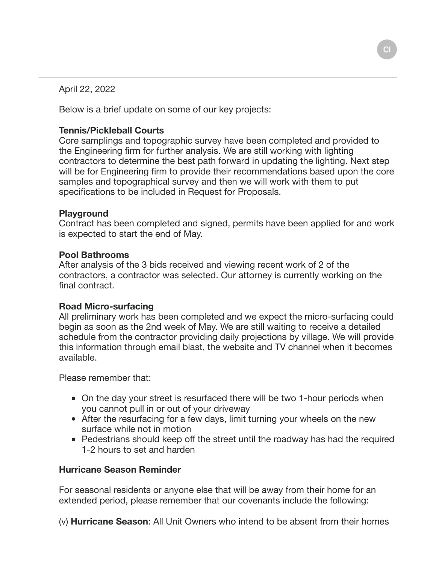April 22, 2022

Below is a brief update on some of our key projects:

# **Tennis/Pickleball Courts**

Core samplings and topographic survey have been completed and provided to the Engineering firm for further analysis. We are still working with lighting contractors to determine the best path forward in updating the lighting. Next step will be for Engineering firm to provide their recommendations based upon the core samples and topographical survey and then we will work with them to put specifications to be included in Request for Proposals.

## **Playground**

Contract has been completed and signed, permits have been applied for and work is expected to start the end of May.

## **Pool Bathrooms**

After analysis of the 3 bids received and viewing recent work of 2 of the contractors, a contractor was selected. Our attorney is currently working on the final contract.

## **Road Micro-surfacing**

All preliminary work has been completed and we expect the micro-surfacing could begin as soon as the 2nd week of May. We are still waiting to receive a detailed schedule from the contractor providing daily projections by village. We will provide this information through email blast, the website and TV channel when it becomes available.

Please remember that:

- On the day your street is resurfaced there will be two 1-hour periods when you cannot pull in or out of your driveway
- After the resurfacing for a few days, limit turning your wheels on the new surface while not in motion
- Pedestrians should keep off the street until the roadway has had the required 1-2 hours to set and harden

## **Hurricane Season Reminder**

For seasonal residents or anyone else that will be away from their home for an extended period, please remember that our covenants include the following:

(v) **Hurricane Season**: All Unit Owners who intend to be absent from their homes